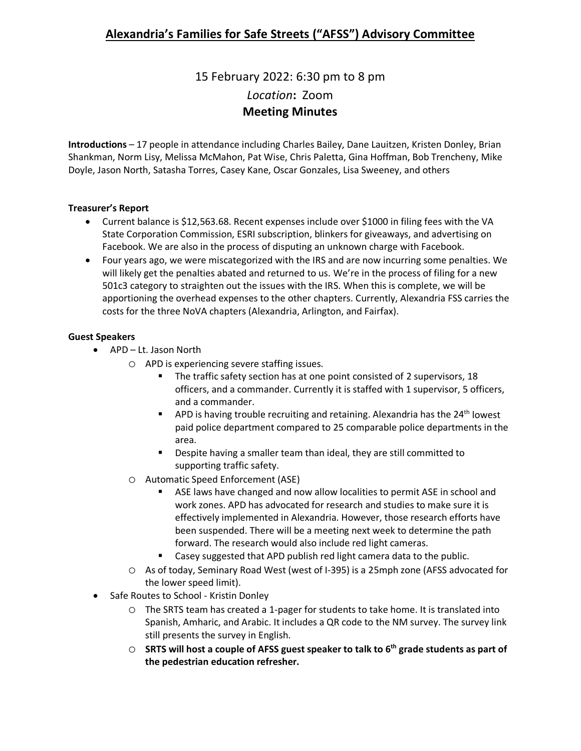# 15 February 2022: 6:30 pm to 8 pm *Location***:** Zoom **Meeting Minutes**

**Introductions** – 17 people in attendance including Charles Bailey, Dane Lauitzen, Kristen Donley, Brian Shankman, Norm Lisy, Melissa McMahon, Pat Wise, Chris Paletta, Gina Hoffman, Bob Trencheny, Mike Doyle, Jason North, Satasha Torres, Casey Kane, Oscar Gonzales, Lisa Sweeney, and others

### **Treasurer's Report**

- Current balance is \$12,563.68. Recent expenses include over \$1000 in filing fees with the VA State Corporation Commission, ESRI subscription, blinkers for giveaways, and advertising on Facebook. We are also in the process of disputing an unknown charge with Facebook.
- Four years ago, we were miscategorized with the IRS and are now incurring some penalties. We will likely get the penalties abated and returned to us. We're in the process of filing for a new 501c3 category to straighten out the issues with the IRS. When this is complete, we will be apportioning the overhead expenses to the other chapters. Currently, Alexandria FSS carries the costs for the three NoVA chapters (Alexandria, Arlington, and Fairfax).

### **Guest Speakers**

- APD Lt. Jason North
	- o APD is experiencing severe staffing issues.
		- The traffic safety section has at one point consisted of 2 supervisors, 18 officers, and a commander. Currently it is staffed with 1 supervisor, 5 officers, and a commander.
		- **APD** is having trouble recruiting and retaining. Alexandria has the 24<sup>th</sup> lowest paid police department compared to 25 comparable police departments in the area.
		- **Despite having a smaller team than ideal, they are still committed to** supporting traffic safety.
	- o Automatic Speed Enforcement (ASE)
		- ASE laws have changed and now allow localities to permit ASE in school and work zones. APD has advocated for research and studies to make sure it is effectively implemented in Alexandria. However, those research efforts have been suspended. There will be a meeting next week to determine the path forward. The research would also include red light cameras.
		- Casey suggested that APD publish red light camera data to the public.
	- o As of today, Seminary Road West (west of I-395) is a 25mph zone (AFSS advocated for the lower speed limit).
- Safe Routes to School Kristin Donley
	- o The SRTS team has created a 1-pager for students to take home. It is translated into Spanish, Amharic, and Arabic. It includes a QR code to the NM survey. The survey link still presents the survey in English.
	- o **SRTS will host a couple of AFSS guest speaker to talk to 6th grade students as part of the pedestrian education refresher.**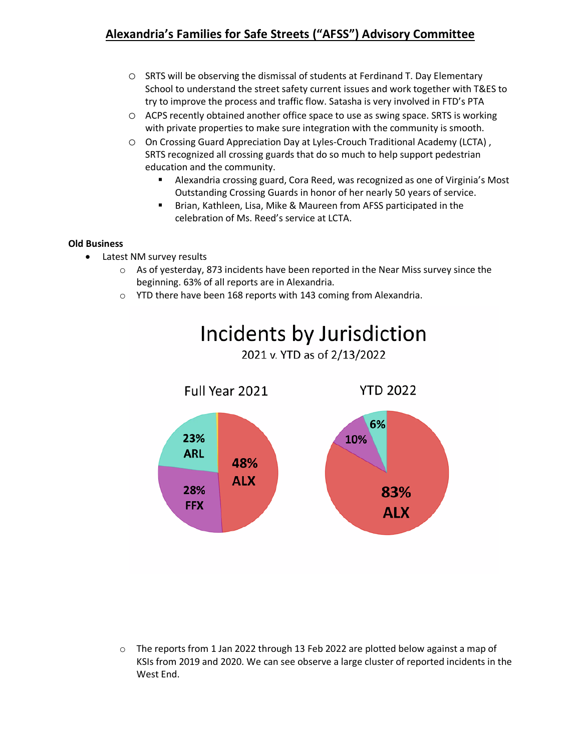- o SRTS will be observing the dismissal of students at Ferdinand T. Day Elementary School to understand the street safety current issues and work together with T&ES to try to improve the process and traffic flow. Satasha is very involved in FTD's PTA
- o ACPS recently obtained another office space to use as swing space. SRTS is working with private properties to make sure integration with the community is smooth.
- o On Crossing Guard Appreciation Day at Lyles-Crouch Traditional Academy (LCTA) , SRTS recognized all crossing guards that do so much to help support pedestrian education and the community.
	- Alexandria crossing guard, Cora Reed, was recognized as one of Virginia's Most Outstanding Crossing Guards in honor of her nearly 50 years of service.
	- **Brian, Kathleen, Lisa, Mike & Maureen from AFSS participated in the** celebration of Ms. Reed's service at LCTA.

#### **Old Business**

- Latest NM survey results
	- $\circ$  As of yesterday, 873 incidents have been reported in the Near Miss survey since the beginning. 63% of all reports are in Alexandria.
	- o YTD there have been 168 reports with 143 coming from Alexandria.



o The reports from 1 Jan 2022 through 13 Feb 2022 are plotted below against a map of KSIs from 2019 and 2020. We can see observe a large cluster of reported incidents in the West End.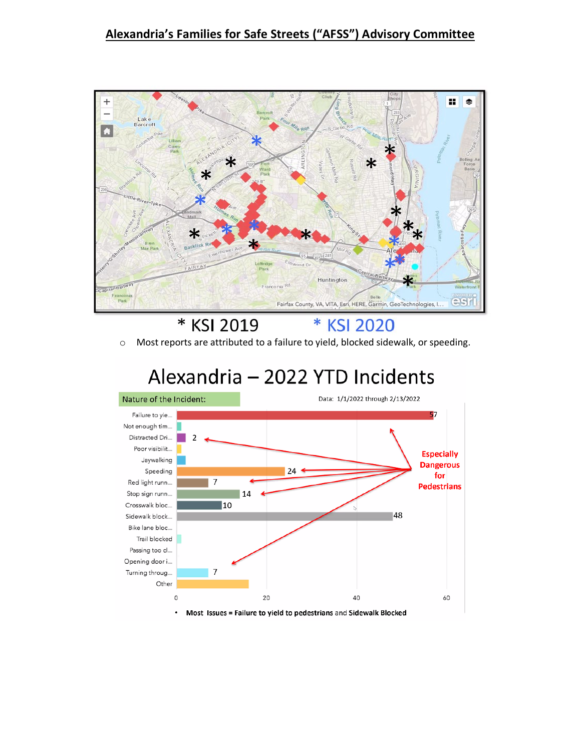

\* KSI 2019  $\ast$ **KSI 2020** 

o Most reports are attributed to a failure to yield, blocked sidewalk, or speeding.

# Alexandria - 2022 YTD Incidents



Most Issues = Failure to yield to pedestrians and Sidewalk Blocked  $\bullet$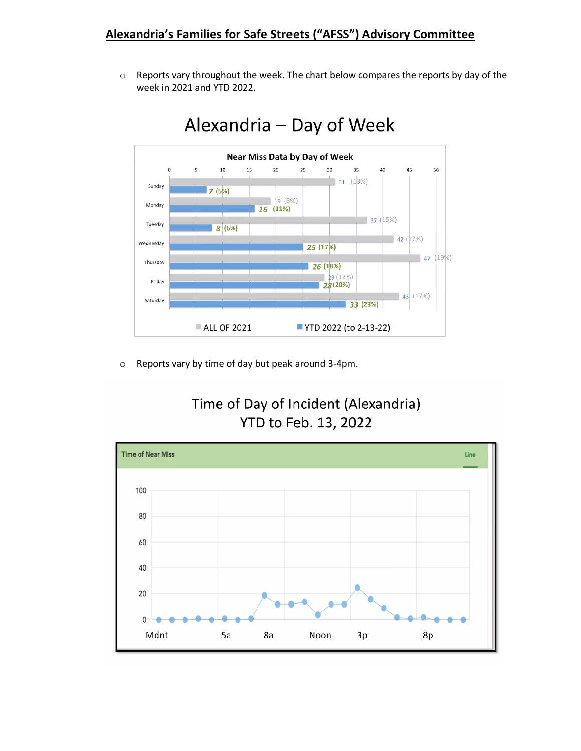$\circ$  Reports vary throughout the week. The chart below compares the reports by day of the week in 2021 and YTD 2022.



# Alexandria - Day of Week

o Reports vary by time of day but peak around 3-4pm.



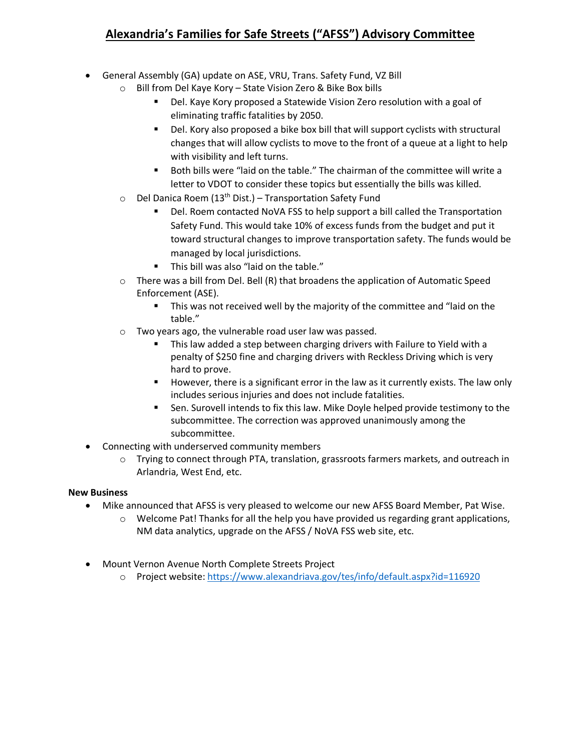- General Assembly (GA) update on ASE, VRU, Trans. Safety Fund, VZ Bill
	- o Bill from Del Kaye Kory State Vision Zero & Bike Box bills
		- Del. Kaye Kory proposed a Statewide Vision Zero resolution with a goal of eliminating traffic fatalities by 2050.
		- Del. Kory also proposed a bike box bill that will support cyclists with structural changes that will allow cyclists to move to the front of a queue at a light to help with visibility and left turns.
		- Both bills were "laid on the table." The chairman of the committee will write a letter to VDOT to consider these topics but essentially the bills was killed.
	- $\circ$  Del Danica Roem (13<sup>th</sup> Dist.) Transportation Safety Fund
		- Del. Roem contacted NoVA FSS to help support a bill called the Transportation Safety Fund. This would take 10% of excess funds from the budget and put it toward structural changes to improve transportation safety. The funds would be managed by local jurisdictions.
		- This bill was also "laid on the table."
	- $\circ$  There was a bill from Del. Bell (R) that broadens the application of Automatic Speed Enforcement (ASE).
		- This was not received well by the majority of the committee and "laid on the table."
	- o Two years ago, the vulnerable road user law was passed.
		- **This law added a step between charging drivers with Failure to Yield with a** penalty of \$250 fine and charging drivers with Reckless Driving which is very hard to prove.
		- However, there is a significant error in the law as it currently exists. The law only includes serious injuries and does not include fatalities.
		- Sen. Surovell intends to fix this law. Mike Doyle helped provide testimony to the subcommittee. The correction was approved unanimously among the subcommittee.
- Connecting with underserved community members
	- o Trying to connect through PTA, translation, grassroots farmers markets, and outreach in Arlandria, West End, etc.

#### **New Business**

- Mike announced that AFSS is very pleased to welcome our new AFSS Board Member, Pat Wise.
	- o Welcome Pat! Thanks for all the help you have provided us regarding grant applications, NM data analytics, upgrade on the AFSS / NoVA FSS web site, etc.
- Mount Vernon Avenue North Complete Streets Project
	- o Project website:<https://www.alexandriava.gov/tes/info/default.aspx?id=116920>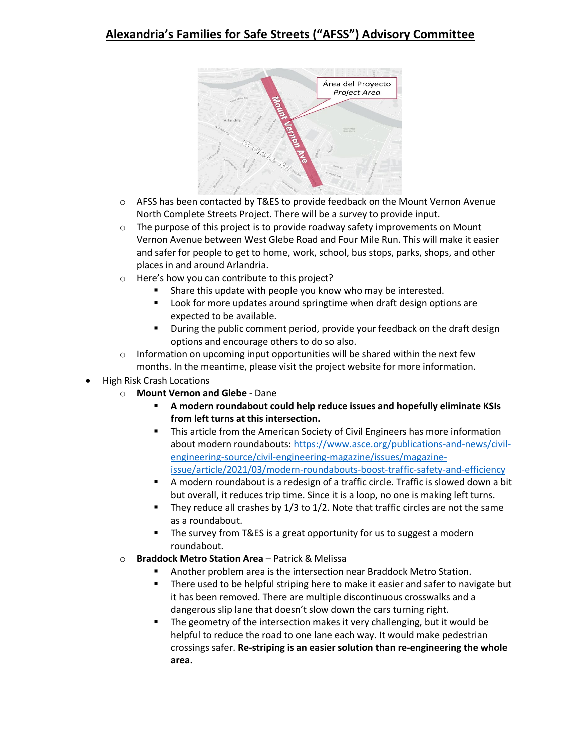

- $\circ$  AFSS has been contacted by T&ES to provide feedback on the Mount Vernon Avenue North Complete Streets Project. There will be a survey to provide input.
- $\circ$  The purpose of this project is to provide roadway safety improvements on Mount Vernon Avenue between West Glebe Road and Four Mile Run. This will make it easier and safer for people to get to home, work, school, bus stops, parks, shops, and other places in and around Arlandria.
- o Here's how you can contribute to this project?
	- Share this update with people you know who may be interested.
	- Look for more updates around springtime when draft design options are expected to be available.
	- During the public comment period, provide your feedback on the draft design options and encourage others to do so also.
- $\circ$  Information on upcoming input opportunities will be shared within the next few months. In the meantime, please visit the project website for more information.
- High Risk Crash Locations
	- o **Mount Vernon and Glebe** Dane
		- **A modern roundabout could help reduce issues and hopefully eliminate KSIs from left turns at this intersection.**
		- This article from the American Society of Civil Engineers has more information about modern roundabouts: [https://www.asce.org/publications-and-news/civil](https://www.asce.org/publications-and-news/civil-engineering-source/civil-engineering-magazine/issues/magazine-issue/article/2021/03/modern-roundabouts-boost-traffic-safety-and-efficiency)[engineering-source/civil-engineering-magazine/issues/magazine](https://www.asce.org/publications-and-news/civil-engineering-source/civil-engineering-magazine/issues/magazine-issue/article/2021/03/modern-roundabouts-boost-traffic-safety-and-efficiency)[issue/article/2021/03/modern-roundabouts-boost-traffic-safety-and-efficiency](https://www.asce.org/publications-and-news/civil-engineering-source/civil-engineering-magazine/issues/magazine-issue/article/2021/03/modern-roundabouts-boost-traffic-safety-and-efficiency)
		- A modern roundabout is a redesign of a traffic circle. Traffic is slowed down a bit but overall, it reduces trip time. Since it is a loop, no one is making left turns.
		- They reduce all crashes by 1/3 to 1/2. Note that traffic circles are not the same as a roundabout.
		- The survey from T&ES is a great opportunity for us to suggest a modern roundabout.
	- o **Braddock Metro Station Area** Patrick & Melissa
		- Another problem area is the intersection near Braddock Metro Station.
		- There used to be helpful striping here to make it easier and safer to navigate but it has been removed. There are multiple discontinuous crosswalks and a dangerous slip lane that doesn't slow down the cars turning right.
		- The geometry of the intersection makes it very challenging, but it would be helpful to reduce the road to one lane each way. It would make pedestrian crossings safer. **Re-striping is an easier solution than re-engineering the whole area.**